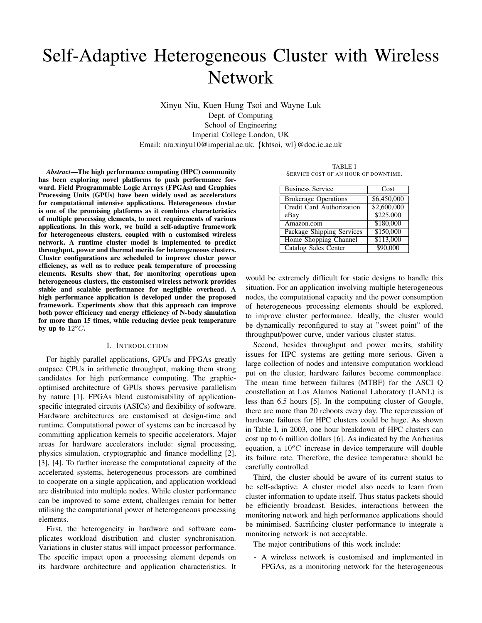# Self-Adaptive Heterogeneous Cluster with Wireless Network

Xinyu Niu, Kuen Hung Tsoi and Wayne Luk Dept. of Computing School of Engineering Imperial College London, UK Email: niu.xinyu10@imperial.ac.uk, {khtsoi, wl}@doc.ic.ac.uk

*Abstract*—The high performance computing (HPC) community has been exploring novel platforms to push performance forward. Field Programmable Logic Arrays (FPGAs) and Graphics Processing Units (GPUs) have been widely used as accelerators for computational intensive applications. Heterogeneous cluster is one of the promising platforms as it combines characteristics of multiple processing elements, to meet requirements of various applications. In this work, we build a self-adaptive framework for heterogeneous clusters, coupled with a customised wireless network. A runtime cluster model is implemented to predict throughput, power and thermal merits for heterogeneous clusters. Cluster configurations are scheduled to improve cluster power efficiency, as well as to reduce peak temperature of processing elements. Results show that, for monitoring operations upon heterogeneous clusters, the customised wireless network provides stable and scalable performance for negligible overhead. A high performance application is developed under the proposed framework. Experiments show that this approach can improve both power efficiency and energy efficiency of N-body simulation for more than 15 times, while reducing device peak temperature by up to  $12^{\circ}$ .

## I. INTRODUCTION

For highly parallel applications, GPUs and FPGAs greatly outpace CPUs in arithmetic throughput, making them strong candidates for high performance computing. The graphicoptimised architecture of GPUs shows pervasive parallelism by nature [1]. FPGAs blend customisability of applicationspecific integrated circuits (ASICs) and flexibility of software. Hardware architectures are customised at design-time and runtime. Computational power of systems can be increased by committing application kernels to specific accelerators. Major areas for hardware accelerators include: signal processing, physics simulation, cryptographic and finance modelling [2], [3], [4]. To further increase the computational capacity of the accelerated systems, heterogeneous processors are combined to cooperate on a single application, and application workload are distributed into multiple nodes. While cluster performance can be improved to some extent, challenges remain for better utilising the computational power of heterogeneous processing elements.

First, the heterogeneity in hardware and software complicates workload distribution and cluster synchronisation. Variations in cluster status will impact processor performance. The specific impact upon a processing element depends on its hardware architecture and application characteristics. It

TABLE I SERVICE COST OF AN HOUR OF DOWNTIME.

| <b>Business Service</b>     | Cost        |
|-----------------------------|-------------|
| <b>Brokerage Operations</b> | \$6,450,000 |
| Credit Card Authorization   | \$2,600,000 |
| eBay                        | \$225,000   |
| Amazon.com                  | \$180,000   |
| Package Shipping Services   | \$150,000   |
| Home Shopping Channel       | \$113,000   |
| <b>Catalog Sales Center</b> | \$90,000    |

would be extremely difficult for static designs to handle this situation. For an application involving multiple heterogeneous nodes, the computational capacity and the power consumption of heterogeneous processing elements should be explored, to improve cluster performance. Ideally, the cluster would be dynamically reconfigured to stay at "sweet point" of the throughput/power curve, under various cluster status.

Second, besides throughput and power merits, stability issues for HPC systems are getting more serious. Given a large collection of nodes and intensive computation workload put on the cluster, hardware failures become commonplace. The mean time between failures (MTBF) for the ASCI Q constellation at Los Alamos National Laboratory (LANL) is less than 6.5 hours [5]. In the computing cluster of Google, there are more than 20 reboots every day. The repercussion of hardware failures for HPC clusters could be huge. As shown in Table I, in 2003, one hour breakdown of HPC clusters can cost up to 6 million dollars [6]. As indicated by the Arrhenius equation, a  $10^{\circ}$ C increase in device temperature will double its failure rate. Therefore, the device temperature should be carefully controlled.

Third, the cluster should be aware of its current status to be self-adaptive. A cluster model also needs to learn from cluster information to update itself. Thus status packets should be efficiently broadcast. Besides, interactions between the monitoring network and high performance applications should be minimised. Sacrificing cluster performance to integrate a monitoring network is not acceptable.

The major contributions of this work include:

- A wireless network is customised and implemented in FPGAs, as a monitoring network for the heterogeneous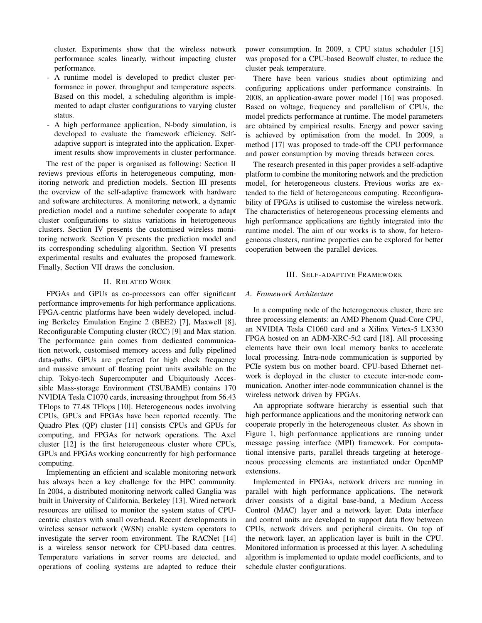cluster. Experiments show that the wireless network performance scales linearly, without impacting cluster performance.

- A runtime model is developed to predict cluster performance in power, throughput and temperature aspects. Based on this model, a scheduling algorithm is implemented to adapt cluster configurations to varying cluster status.
- A high performance application, N-body simulation, is developed to evaluate the framework efficiency. Selfadaptive support is integrated into the application. Experiment results show improvements in cluster performance.

The rest of the paper is organised as following: Section II reviews previous efforts in heterogeneous computing, monitoring network and prediction models. Section III presents the overview of the self-adaptive framework with hardware and software architectures. A monitoring network, a dynamic prediction model and a runtime scheduler cooperate to adapt cluster configurations to status variations in heterogeneous clusters. Section IV presents the customised wireless monitoring network. Section V presents the prediction model and its corresponding scheduling algorithm. Section VI presents experimental results and evaluates the proposed framework. Finally, Section VII draws the conclusion.

# II. RELATED WORK

FPGAs and GPUs as co-processors can offer significant performance improvements for high performance applications. FPGA-centric platforms have been widely developed, including Berkeley Emulation Engine 2 (BEE2) [7], Maxwell [8], Reconfigurable Computing cluster (RCC) [9] and Max station. The performance gain comes from dedicated communication network, customised memory access and fully pipelined data-paths. GPUs are preferred for high clock frequency and massive amount of floating point units available on the chip. Tokyo-tech Supercomputer and Ubiquitously Accessible Mass-storage Environment (TSUBAME) contains 170 NVIDIA Tesla C1070 cards, increasing throughput from 56.43 TFlops to 77.48 TFlops [10]. Heterogeneous nodes involving CPUs, GPUs and FPGAs have been reported recently. The Quadro Plex (QP) cluster [11] consists CPUs and GPUs for computing, and FPGAs for network operations. The Axel cluster [12] is the first heterogeneous cluster where CPUs, GPUs and FPGAs working concurrently for high performance computing.

Implementing an efficient and scalable monitoring network has always been a key challenge for the HPC community. In 2004, a distributed monitoring network called Ganglia was built in University of California, Berkeley [13]. Wired network resources are utilised to monitor the system status of CPUcentric clusters with small overhead. Recent developments in wireless sensor network (WSN) enable system operators to investigate the server room environment. The RACNet [14] is a wireless sensor network for CPU-based data centres. Temperature variations in server rooms are detected, and operations of cooling systems are adapted to reduce their power consumption. In 2009, a CPU status scheduler [15] was proposed for a CPU-based Beowulf cluster, to reduce the cluster peak temperature.

There have been various studies about optimizing and configuring applications under performance constraints. In 2008, an application-aware power model [16] was proposed. Based on voltage, frequency and parallelism of CPUs, the model predicts performance at runtime. The model parameters are obtained by empirical results. Energy and power saving is achieved by optimisation from the model. In 2009, a method [17] was proposed to trade-off the CPU performance and power consumption by moving threads between cores.

The research presented in this paper provides a self-adaptive platform to combine the monitoring network and the prediction model, for heterogeneous clusters. Previous works are extended to the field of heterogeneous computing. Reconfigurability of FPGAs is utilised to customise the wireless network. The characteristics of heterogeneous processing elements and high performance applications are tightly integrated into the runtime model. The aim of our works is to show, for heterogeneous clusters, runtime properties can be explored for better cooperation between the parallel devices.

## III. SELF-ADAPTIVE FRAMEWORK

# *A. Framework Architecture*

In a computing node of the heterogeneous cluster, there are three processing elements: an AMD Phenom Quad-Core CPU, an NVIDIA Tesla C1060 card and a Xilinx Virtex-5 LX330 FPGA hosted on an ADM-XRC-5t2 card [18]. All processing elements have their own local memory banks to accelerate local processing. Intra-node communication is supported by PCIe system bus on mother board. CPU-based Ethernet network is deployed in the cluster to execute inter-node communication. Another inter-node communication channel is the wireless network driven by FPGAs.

An appropriate software hierarchy is essential such that high performance applications and the monitoring network can cooperate properly in the heterogeneous cluster. As shown in Figure 1, high performance applications are running under message passing interface (MPI) framework. For computational intensive parts, parallel threads targeting at heterogeneous processing elements are instantiated under OpenMP extensions.

Implemented in FPGAs, network drivers are running in parallel with high performance applications. The network driver consists of a digital base-band, a Medium Access Control (MAC) layer and a network layer. Data interface and control units are developed to support data flow between CPUs, network drivers and peripheral circuits. On top of the network layer, an application layer is built in the CPU. Monitored information is processed at this layer. A scheduling algorithm is implemented to update model coefficients, and to schedule cluster configurations.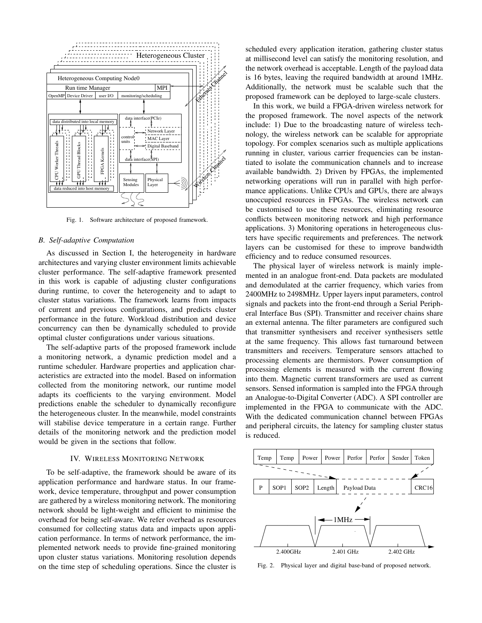

Fig. 1. Software architecture of proposed framework.

#### *B. Self-adaptive Computation*

As discussed in Section I, the heterogeneity in hardware architectures and varying cluster environment limits achievable cluster performance. The self-adaptive framework presented in this work is capable of adjusting cluster configurations during runtime, to cover the heterogeneity and to adapt to cluster status variations. The framework learns from impacts of current and previous configurations, and predicts cluster performance in the future. Workload distribution and device concurrency can then be dynamically scheduled to provide optimal cluster configurations under various situations.

The self-adaptive parts of the proposed framework include a monitoring network, a dynamic prediction model and a runtime scheduler. Hardware properties and application characteristics are extracted into the model. Based on information collected from the monitoring network, our runtime model adapts its coefficients to the varying environment. Model predictions enable the scheduler to dynamically reconfigure the heterogeneous cluster. In the meanwhile, model constraints will stabilise device temperature in a certain range. Further details of the monitoring network and the prediction model would be given in the sections that follow.

# IV. WIRELESS MONITORING NETWORK

To be self-adaptive, the framework should be aware of its application performance and hardware status. In our framework, device temperature, throughput and power consumption are gathered by a wireless monitoring network. The monitoring network should be light-weight and efficient to minimise the overhead for being self-aware. We refer overhead as resources consumed for collecting status data and impacts upon application performance. In terms of network performance, the implemented network needs to provide fine-grained monitoring upon cluster status variations. Monitoring resolution depends on the time step of scheduling operations. Since the cluster is

scheduled every application iteration, gathering cluster status at millisecond level can satisfy the monitoring resolution, and the network overhead is acceptable. Length of the payload data is 16 bytes, leaving the required bandwidth at around 1MHz. Additionally, the network must be scalable such that the proposed framework can be deployed to large-scale clusters.

In this work, we build a FPGA-driven wireless network for the proposed framework. The novel aspects of the network include: 1) Due to the broadcasting nature of wireless technology, the wireless network can be scalable for appropriate topology. For complex scenarios such as multiple applications running in cluster, various carrier frequencies can be instantiated to isolate the communication channels and to increase available bandwidth. 2) Driven by FPGAs, the implemented networking operations will run in parallel with high performance applications. Unlike CPUs and GPUs, there are always unoccupied resources in FPGAs. The wireless network can be customised to use these resources, eliminating resource conflicts between monitoring network and high performance applications. 3) Monitoring operations in heterogeneous clusters have specific requirements and preferences. The network layers can be customised for these to improve bandwidth efficiency and to reduce consumed resources.

The physical layer of wireless network is mainly implemented in an analogue front-end. Data packets are modulated and demodulated at the carrier frequency, which varies from 2400MHz to 2498MHz. Upper layers input parameters, control signals and packets into the front-end through a Serial Peripheral Interface Bus (SPI). Transmitter and receiver chains share an external antenna. The filter parameters are configured such that transmitter synthesisers and receiver synthesisers settle at the same frequency. This allows fast turnaround between transmitters and receivers. Temperature sensors attached to processing elements are thermistors. Power consumption of processing elements is measured with the current flowing into them. Magnetic current transformers are used as current sensors. Sensed information is sampled into the FPGA through an Analogue-to-Digital Converter (ADC). A SPI controller are implemented in the FPGA to communicate with the ADC. With the dedicated communication channel between FPGAs and peripheral circuits, the latency for sampling cluster status is reduced.



Fig. 2. Physical layer and digital base-band of proposed network.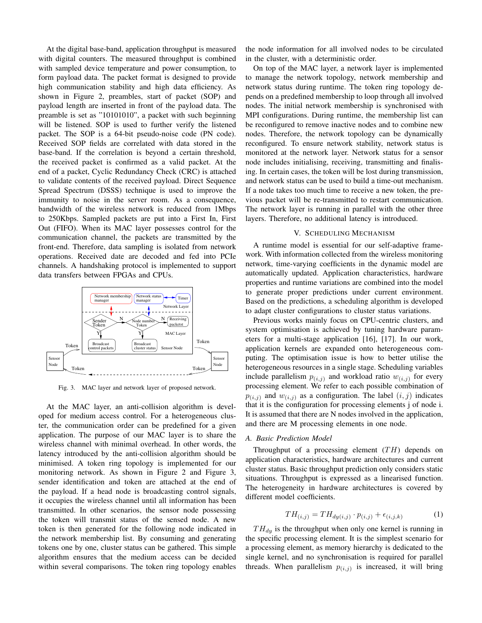At the digital base-band, application throughput is measured with digital counters. The measured throughput is combined with sampled device temperature and power consumption, to form payload data. The packet format is designed to provide high communication stability and high data efficiency. As shown in Figure 2, preambles, start of packet (SOP) and payload length are inserted in front of the payload data. The preamble is set as "10101010", a packet with such beginning will be listened. SOP is used to further verify the listened packet. The SOP is a 64-bit pseudo-noise code (PN code). Received SOP fields are correlated with data stored in the base-band. If the correlation is beyond a certain threshold, the received packet is confirmed as a valid packet. At the end of a packet, Cyclic Redundancy Check (CRC) is attached to validate contents of the received payload. Direct Sequence Spread Spectrum (DSSS) technique is used to improve the immunity to noise in the server room. As a consequence, bandwidth of the wireless network is reduced from 1Mbps to 250Kbps. Sampled packets are put into a First In, First Out (FIFO). When its MAC layer possesses control for the communication channel, the packets are transmitted by the front-end. Therefore, data sampling is isolated from network operations. Received date are decoded and fed into PCIe channels. A handshaking protocol is implemented to support data transfers between FPGAs and CPUs.



Fig. 3. MAC layer and network layer of proposed network.

At the MAC layer, an anti-collision algorithm is developed for medium access control. For a heterogeneous cluster, the communication order can be predefined for a given application. The purpose of our MAC layer is to share the wireless channel with minimal overhead. In other words, the latency introduced by the anti-collision algorithm should be minimised. A token ring topology is implemented for our monitoring network. As shown in Figure 2 and Figure 3, sender identification and token are attached at the end of the payload. If a head node is broadcasting control signals, it occupies the wireless channel until all information has been transmitted. In other scenarios, the sensor node possessing the token will transmit status of the sensed node. A new token is then generated for the following node indicated in the network membership list. By consuming and generating tokens one by one, cluster status can be gathered. This simple algorithm ensures that the medium access can be decided within several comparisons. The token ring topology enables the node information for all involved nodes to be circulated in the cluster, with a deterministic order.

On top of the MAC layer, a network layer is implemented to manage the network topology, network membership and network status during runtime. The token ring topology depends on a predefined membership to loop through all involved nodes. The initial network membership is synchronised with MPI configurations. During runtime, the membership list can be reconfigured to remove inactive nodes and to combine new nodes. Therefore, the network topology can be dynamically reconfigured. To ensure network stability, network status is monitored at the network layer. Network status for a sensor node includes initialising, receiving, transmitting and finalising. In certain cases, the token will be lost during transmission, and network status can be used to build a time-out mechanism. If a node takes too much time to receive a new token, the previous packet will be re-transmitted to restart communication. The network layer is running in parallel with the other three layers. Therefore, no additional latency is introduced.

# V. SCHEDULING MECHANISM

A runtime model is essential for our self-adaptive framework. With information collected from the wireless monitoring network, time-varying coefficients in the dynamic model are automatically updated. Application characteristics, hardware properties and runtime variations are combined into the model to generate proper predictions under current environment. Based on the predictions, a scheduling algorithm is developed to adapt cluster configurations to cluster status variations.

Previous works mainly focus on CPU-centric clusters, and system optimisation is achieved by tuning hardware parameters for a multi-stage application [16], [17]. In our work, application kernels are expanded onto heterogeneous computing. The optimisation issue is how to better utilise the heterogeneous resources in a single stage. Scheduling variables include parallelism  $p_{(i,j)}$  and workload ratio  $w_{(i,j)}$  for every processing element. We refer to each possible combination of  $p_{(i,j)}$  and  $w_{(i,j)}$  as a configuration. The label  $(i,j)$  indicates that it is the configuration for processing elements j of node i. It is assumed that there are N nodes involved in the application, and there are M processing elements in one node.

#### *A. Basic Prediction Model*

Throughput of a processing element  $(TH)$  depends on application characteristics, hardware architectures and current cluster status. Basic throughput prediction only considers static situations. Throughput is expressed as a linearised function. The heterogeneity in hardware architectures is covered by different model coefficients.

$$
TH_{(i,j)} = TH_{dy(i,j)} \cdot p_{(i,j)} + \epsilon_{(i,j,k)} \tag{1}
$$

 $TH_{dy}$  is the throughput when only one kernel is running in the specific processing element. It is the simplest scenario for a processing element, as memory hierarchy is dedicated to the single kernel, and no synchronisation is required for parallel threads. When parallelism  $p_{(i,j)}$  is increased, it will bring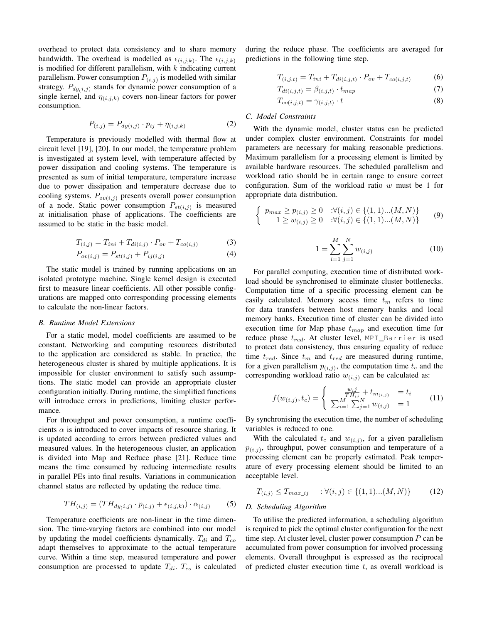overhead to protect data consistency and to share memory bandwidth. The overhead is modelled as  $\epsilon_{(i,j,k)}$ . The  $\epsilon_{(i,j,k)}$ is modified for different parallelism, with  $k$  indicating current parallelism. Power consumption  $P_{(i,j)}$  is modelled with similar strategy.  $P_{dy(i,j)}$  stands for dynamic power consumption of a single kernel, and  $\eta_{(i,j,k)}$  covers non-linear factors for power consumption.

$$
P_{(i,j)} = P_{dy(i,j)} \cdot p_{ij} + \eta_{(i,j,k)} \tag{2}
$$

Temperature is previously modelled with thermal flow at circuit level [19], [20]. In our model, the temperature problem is investigated at system level, with temperature affected by power dissipation and cooling systems. The temperature is presented as sum of initial temperature, temperature increase due to power dissipation and temperature decrease due to cooling systems.  $P_{ov(i,j)}$  presents overall power consumption of a node. Static power consumption  $P_{st(i,j)}$  is measured at initialisation phase of applications. The coefficients are assumed to be static in the basic model.

$$
T_{(i,j)} = T_{ini} + T_{di(i,j)} \cdot P_{ov} + T_{co(i,j)}
$$
(3)

$$
P_{ov(i,j)} = P_{st(i,j)} + P_{ij(i,j)}
$$
\n(4)

The static model is trained by running applications on an isolated prototype machine. Single kernel design is executed first to measure linear coefficients. All other possible configurations are mapped onto corresponding processing elements to calculate the non-linear factors.

# *B. Runtime Model Extensions*

For a static model, model coefficients are assumed to be constant. Networking and computing resources distributed to the application are considered as stable. In practice, the heterogeneous cluster is shared by multiple applications. It is impossible for cluster environment to satisfy such assumptions. The static model can provide an appropriate cluster configuration initially. During runtime, the simplified functions will introduce errors in predictions, limiting cluster performance.

For throughput and power consumption, a runtime coefficients  $\alpha$  is introduced to cover impacts of resource sharing. It is updated according to errors between predicted values and measured values. In the heterogeneous cluster, an application is divided into Map and Reduce phase [21]. Reduce time means the time consumed by reducing intermediate results in parallel PEs into final results. Variations in communication channel status are reflected by updating the reduce time.

$$
TH_{(i,j)} = (TH_{dy(i,j)} \cdot p_{(i,j)} + \epsilon_{(i,j,k)}) \cdot \alpha_{(i,j)} \tag{5}
$$

Temperature coefficients are non-linear in the time dimension. The time-varying factors are combined into our model by updating the model coefficients dynamically.  $T_{di}$  and  $T_{co}$ adapt themselves to approximate to the actual temperature curve. Within a time step, measured temperature and power consumption are processed to update  $T_{di}$ .  $T_{co}$  is calculated during the reduce phase. The coefficients are averaged for predictions in the following time step.

$$
T_{(i,j,t)} = T_{ini} + T_{di(i,j,t)} \cdot P_{ov} + T_{co(i,j,t)}
$$
(6)

$$
T_{di(i,j,t)} = \beta_{(i,j,t)} \cdot t_{map} \tag{7}
$$

$$
T_{co(i,j,t)} = \gamma_{(i,j,t)} \cdot t \tag{8}
$$

# *C. Model Constraints*

With the dynamic model, cluster status can be predicted under complex cluster environment. Constraints for model parameters are necessary for making reasonable predictions. Maximum parallelism for a processing element is limited by available hardware resources. The scheduled parallelism and workload ratio should be in certain range to ensure correct configuration. Sum of the workload ratio  $w$  must be 1 for appropriate data distribution.

$$
\begin{cases}\n p_{max} \ge p_{(i,j)} \ge 0 & \forall (i,j) \in \{ (1,1) \dots (M,N) \} \\
1 \ge w_{(i,j)} \ge 0 & \forall (i,j) \in \{ (1,1) \dots (M,N) \}\n\end{cases}\n\tag{9}
$$

$$
1 = \sum_{i=1}^{M} \sum_{j=1}^{N} w_{(i,j)}
$$
 (10)

For parallel computing, execution time of distributed workload should be synchronised to eliminate cluster bottlenecks. Computation time of a specific processing element can be easily calculated. Memory access time  $t_m$  refers to time for data transfers between host memory banks and local memory banks. Execution time of cluster can be divided into execution time for Map phase  $t_{map}$  and execution time for reduce phase  $t_{red}$ . At cluster level, MPI\_Barrier is used to protect data consistency, thus ensuring equality of reduce time  $t_{red}$ . Since  $t_m$  and  $t_{red}$  are measured during runtime, for a given parallelism  $p_{(i,j)}$ , the computation time  $t_c$  and the corresponding workload ratio  $w_{(i,j)}$  can be calculated as:

$$
f(w_{(i,j)}, t_c) = \begin{cases} \frac{w_{ij}}{TH_{ij}} + t_{m_{(i,j)}} &= t_i \\ \sum_{i=1}^M \sum_{j=1}^N w_{(i,j)} &= 1 \end{cases}
$$
 (11)

By synchronising the execution time, the number of scheduling variables is reduced to one.

With the calculated  $t_c$  and  $w_{(i,j)}$ , for a given parallelism  $p_{(i,j)}$ , throughput, power consumption and temperature of a processing element can be properly estimated. Peak temperature of every processing element should be limited to an acceptable level.

$$
T_{(i,j)} \le T_{max\_ij} \qquad : \forall (i,j) \in \{(1,1)...(M,N)\} \tag{12}
$$

#### *D. Scheduling Algorithm*

To utilise the predicted information, a scheduling algorithm is required to pick the optimal cluster configuration for the next time step. At cluster level, cluster power consumption  $P$  can be accumulated from power consumption for involved processing elements. Overall throughput is expressed as the reciprocal of predicted cluster execution time  $t$ , as overall workload is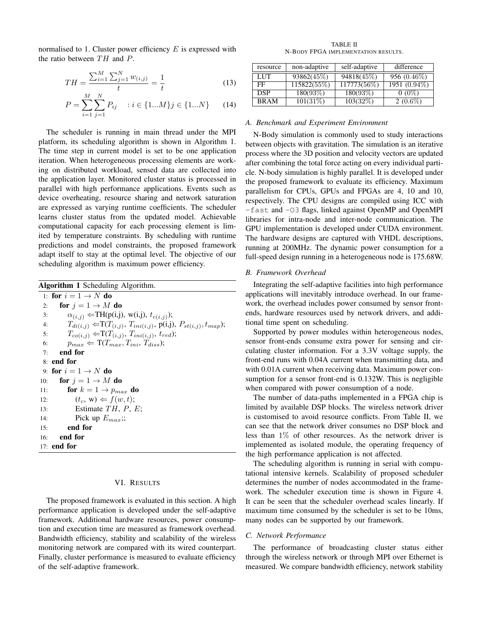normalised to 1. Cluster power efficiency  $E$  is expressed with the ratio between  $TH$  and  $P$ .

$$
TH = \frac{\sum_{i=1}^{M} \sum_{j=1}^{N} w_{(i,j)}}{t} = \frac{1}{t}
$$
 (13)

$$
P = \sum_{i=1}^{M} \sum_{j=1}^{N} P_{ij} \quad : i \in \{1...M\} \quad (14)
$$

The scheduler is running in main thread under the MPI platform, its scheduling algorithm is shown in Algorithm 1. The time step in current model is set to be one application iteration. When heterogeneous processing elements are working on distributed workload, sensed data are collected into the application layer. Monitored cluster status is processed in parallel with high performance applications. Events such as device overheating, resource sharing and network saturation are expressed as varying runtime coefficients. The scheduler learns cluster status from the updated model. Achievable computational capacity for each processing element is limited by temperature constraints. By scheduling with runtime predictions and model constraints, the proposed framework adapt itself to stay at the optimal level. The objective of our scheduling algorithm is maximum power efficiency.

| <b>Algorithm 1</b> Scheduling Algorithm. |                                                                                    |  |  |  |
|------------------------------------------|------------------------------------------------------------------------------------|--|--|--|
|                                          | 1: for $i = 1 \rightarrow N$ do                                                    |  |  |  |
| 2:                                       | for $j = 1 \rightarrow M$ do                                                       |  |  |  |
| 3:                                       | $\alpha_{(i,j)} \leftarrow TH(p(i,j), w(i,j), t_{c(i,j)});$                        |  |  |  |
| 4:                                       | $T_{di(i,j)} \leftarrow T(T_{(i,j)}, T_{ini(i,j)}, p(i,j), P_{st(i,j)}, t_{map});$ |  |  |  |
| 5:                                       | $T_{co(i,j)} \leftarrow T(T_{(i,j)}, T_{ini(i,j)}, t_{red});$                      |  |  |  |
| 6:                                       | $p_{max} \leftarrow T(T_{max}, T_{ini}, T_{diss});$                                |  |  |  |
| 7:                                       | end for                                                                            |  |  |  |
|                                          | 8: end for                                                                         |  |  |  |
|                                          | 9: for $i = 1 \rightarrow N$ do                                                    |  |  |  |
| 10:                                      | for $i = 1 \rightarrow M$ do                                                       |  |  |  |
| 11:                                      | for $k = 1 \rightarrow p_{max}$ do                                                 |  |  |  |
| 12:                                      | $(t_c, w) \Leftarrow f(w, t);$                                                     |  |  |  |
| 13:                                      | Estimate $TH, P, E$ ;                                                              |  |  |  |
| 14:                                      | Pick up $E_{max}$ .                                                                |  |  |  |
|                                          | end for<br>15:                                                                     |  |  |  |
|                                          | $16:$ end for                                                                      |  |  |  |
|                                          | $17:$ end for                                                                      |  |  |  |

#### VI. RESULTS

The proposed framework is evaluated in this section. A high performance application is developed under the self-adaptive framework. Additional hardware resources, power consumption and execution time are measured as framework overhead. Bandwidth efficiency, stability and scalability of the wireless monitoring network are compared with its wired counterpart. Finally, cluster performance is measured to evaluate efficiency of the self-adaptive framework.

TABLE II N-BODY FPGA IMPLEMENTATION RESULTS.

| resource    | non-adaptive | self-adaptive | difference    |
|-------------|--------------|---------------|---------------|
| LUT         | 93862(45\%)  | 94818(45\%)   | $956(0.46\%)$ |
| FF          | 115822(55\%) | 117773(56\%)  | 1951 (0.94\%) |
| <b>DSP</b>  | 180(93%)     | 180(93%)      | $0(0\%)$      |
| <b>BRAM</b> | 101(31%)     | 103(32%)      | $2(0.6\%)$    |

# *A. Benchmark and Experiment Environment*

N-Body simulation is commonly used to study interactions between objects with gravitation. The simulation is an iterative process where the 3D position and velocity vectors are updated after combining the total force acting on every individual particle. N-body simulation is highly parallel. It is developed under the proposed framework to evaluate its efficiency. Maximum parallelism for CPUs, GPUs and FPGAs are 4, 10 and 10, respectively. The CPU designs are compiled using ICC with -fast and -O3 flags, linked against OpenMP and OpenMPI libraries for intra-node and inter-node communication. The GPU implementation is developed under CUDA environment. The hardware designs are captured with VHDL descriptions, running at 200MHz. The dynamic power consumption for a full-speed design running in a heterogeneous node is 175.68W.

# *B. Framework Overhead*

Integrating the self-adaptive facilities into high performance applications will inevitably introduce overhead. In our framework, the overhead includes power consumed by sensor frontends, hardware resources used by network drivers, and additional time spent on scheduling.

Supported by power modules within heterogeneous nodes, sensor front-ends consume extra power for sensing and circulating cluster information. For a 3.3V voltage supply, the front-end runs with 0.04A current when transmitting data, and with 0.01A current when receiving data. Maximum power consumption for a sensor front-end is 0.132W. This is negligible when compared with power consumption of a node.

The number of data-paths implemented in a FPGA chip is limited by available DSP blocks. The wireless network driver is customised to avoid resource conflicts. From Table II, we can see that the network driver consumes no DSP block and less than 1% of other resources. As the network driver is implemented as isolated module, the operating frequency of the high performance application is not affected.

The scheduling algorithm is running in serial with computational intensive kernels. Scalability of proposed scheduler determines the number of nodes accommodated in the framework. The scheduler execution time is shown in Figure 4. It can be seen that the scheduler overhead scales linearly. If maximum time consumed by the scheduler is set to be 10ms, many nodes can be supported by our framework.

# *C. Network Performance*

The performance of broadcasting cluster status either through the wireless network or through MPI over Ethernet is measured. We compare bandwidth efficiency, network stability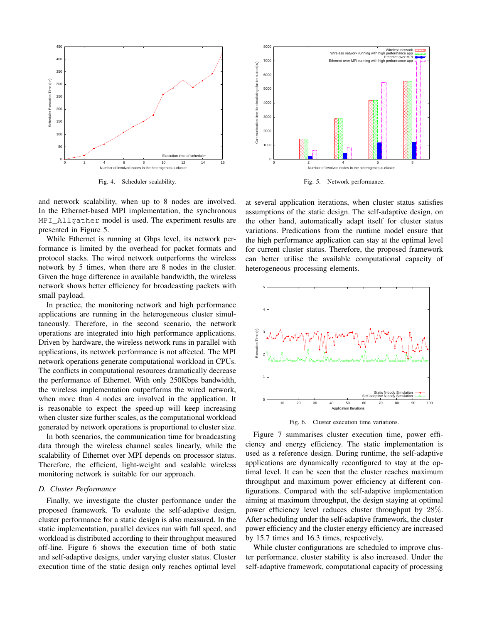

Fig. 4. Scheduler scalability.



Fig. 5. Network performance.

and network scalability, when up to 8 nodes are involved. In the Ethernet-based MPI implementation, the synchronous MPI\_Allgather model is used. The experiment results are presented in Figure 5.

While Ethernet is running at Gbps level, its network performance is limited by the overhead for packet formats and protocol stacks. The wired network outperforms the wireless network by 5 times, when there are 8 nodes in the cluster. Given the huge difference in available bandwidth, the wireless network shows better efficiency for broadcasting packets with small payload.

In practice, the monitoring network and high performance applications are running in the heterogeneous cluster simultaneously. Therefore, in the second scenario, the network operations are integrated into high performance applications. Driven by hardware, the wireless network runs in parallel with applications, its network performance is not affected. The MPI network operations generate computational workload in CPUs. The conflicts in computational resources dramatically decrease the performance of Ethernet. With only 250Kbps bandwidth, the wireless implementation outperforms the wired network, when more than 4 nodes are involved in the application. It is reasonable to expect the speed-up will keep increasing when cluster size further scales, as the computational workload generated by network operations is proportional to cluster size.

In both scenarios, the communication time for broadcasting data through the wireless channel scales linearly, while the scalability of Ethernet over MPI depends on processor status. Therefore, the efficient, light-weight and scalable wireless monitoring network is suitable for our approach.

# *D. Cluster Performance*

Finally, we investigate the cluster performance under the proposed framework. To evaluate the self-adaptive design, cluster performance for a static design is also measured. In the static implementation, parallel devices run with full speed, and workload is distributed according to their throughput measured off-line. Figure 6 shows the execution time of both static and self-adaptive designs, under varying cluster status. Cluster execution time of the static design only reaches optimal level at several application iterations, when cluster status satisfies assumptions of the static design. The self-adaptive design, on the other hand, automatically adapt itself for cluster status variations. Predications from the runtime model ensure that the high performance application can stay at the optimal level for current cluster status. Therefore, the proposed framework can better utilise the available computational capacity of heterogeneous processing elements.



Fig. 6. Cluster execution time variations.

Figure 7 summarises cluster execution time, power efficiency and energy efficiency. The static implementation is used as a reference design. During runtime, the self-adaptive applications are dynamically reconfigured to stay at the optimal level. It can be seen that the cluster reaches maximum throughput and maximum power efficiency at different configurations. Compared with the self-adaptive implementation aiming at maximum throughput, the design staying at optimal power efficiency level reduces cluster throughput by 28%. After scheduling under the self-adaptive framework, the cluster power efficiency and the cluster energy efficiency are increased by 15.7 times and 16.3 times, respectively.

While cluster configurations are scheduled to improve cluster performance, cluster stability is also increased. Under the self-adaptive framework, computational capacity of processing